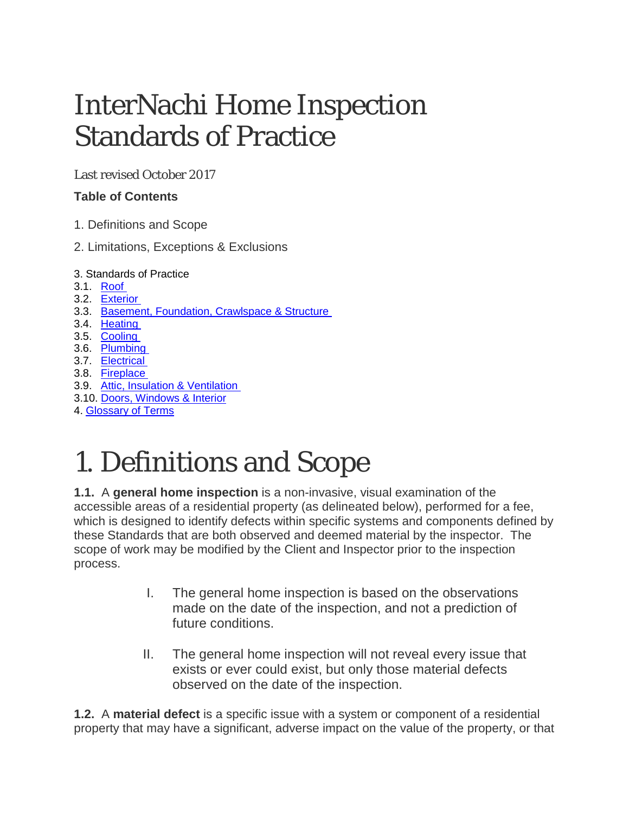## InterNachi Home Inspection Standards of Practice

Last revised October 2017

#### **Table of Contents**

- 1. Definitions and Scope
- 2. Limitations, Exceptions & Exclusions
- 3. Standards of Practice
- 3.1. [Roof](https://www.imhohio.com/highstandards)
- 3.2. [Exterior](https://www.imhohio.com/highstandards)
- 3.3. Basement, [Foundation,](https://www.imhohio.com/highstandards) Crawlspace & Structure
- 3.4. [Heating](https://www.imhohio.com/highstandards)
- 3.5. [Cooling](https://www.imhohio.com/highstandards)
- 3.6. [Plumbing](https://www.imhohio.com/highstandards)
- 3.7. [Electrical](https://www.imhohio.com/highstandards)
- 3.8. [Fireplace](https://www.imhohio.com/highstandards)
- 3.9. Attic, Insulation & [Ventilation](https://www.imhohio.com/highstandards)
- 3.10. Doors, [Windows](https://www.imhohio.com/highstandards) & Interior
- 4. [Glossary](https://www.imhohio.com/highstandards) of Terms

# 1. Definitions and Scope

**1.1.** A **general home inspection** is a non-invasive, visual examination of the accessible areas of a residential property (as delineated below), performed for a fee, which is designed to identify defects within specific systems and components defined by these Standards that are both observed and deemed material by the inspector. The scope of work may be modified by the Client and Inspector prior to the inspection process.

- I. The general home inspection is based on the observations made on the date of the inspection, and not a prediction of future conditions.
- II. The general home inspection will not reveal every issue that exists or ever could exist, but only those material defects observed on the date of the inspection.

**1.2.** A **material defect** is a specific issue with a system or component of a residential property that may have a significant, adverse impact on the value of the property, or that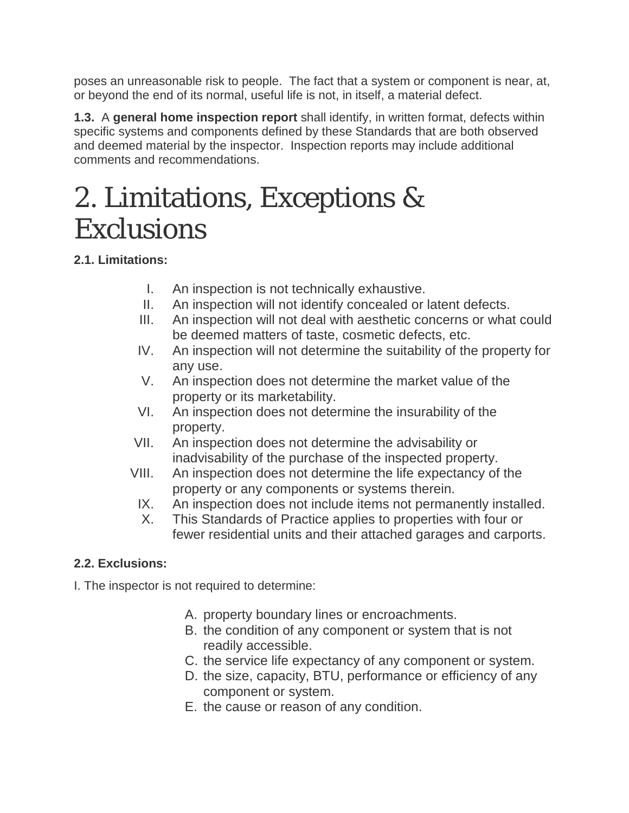poses an unreasonable risk to people. The fact that a system or component is near, at, or beyond the end of its normal, useful life is not, in itself, a material defect.

**1.3.** A **general home inspection report** shall identify, in written format, defects within specific systems and components defined by these Standards that are both observed and deemed material by the inspector. Inspection reports may include additional comments and recommendations.

## 2. Limitations, Exceptions & **Exclusions**

### **2.1. Limitations:**

- I. An inspection is not technically exhaustive.
- II. An inspection will not identify concealed or latent defects.
- III. An inspection will not deal with aesthetic concerns or what could be deemed matters of taste, cosmetic defects, etc.
- IV. An inspection will not determine the suitability of the property for any use.
- V. An inspection does not determine the market value of the property or its marketability.
- VI. An inspection does not determine the insurability of the property.
- VII. An inspection does not determine the advisability or inadvisability of the purchase of the inspected property.
- VIII. An inspection does not determine the life expectancy of the property or any components or systems therein.
	- IX. An inspection does not include items not permanently installed.
	- X. This Standards of Practice applies to properties with four or fewer residential units and their attached garages and carports.

### **2.2. Exclusions:**

I. The inspector is not required to determine:

- A. property boundary lines or encroachments.
- B. the condition of any component or system that is not readily accessible.
- C. the service life expectancy of any component or system.
- D. the size, capacity, BTU, performance or efficiency of any component or system.
- E. the cause or reason of any condition.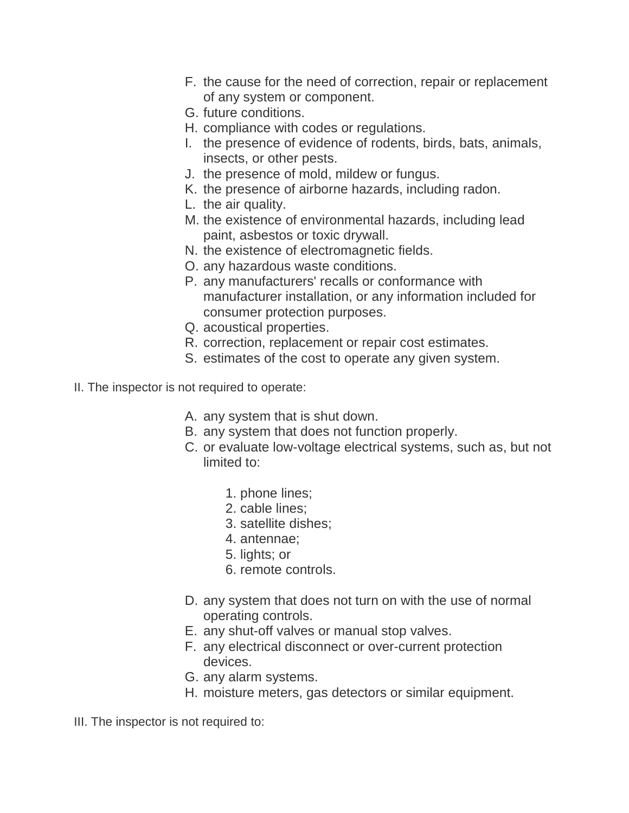- F. the cause for the need of correction, repair or replacement of any system or component.
- G. future conditions.
- H. compliance with codes or regulations.
- I. the presence of evidence of rodents, birds, bats, animals, insects, or other pests.
- J. the presence of mold, mildew or fungus.
- K. the presence of airborne hazards, including radon.
- L. the air quality.
- M. the existence of environmental hazards, including lead paint, asbestos or toxic drywall.
- N. the existence of electromagnetic fields.
- O. any hazardous waste conditions.
- P. any manufacturers' recalls or conformance with manufacturer installation, or any information included for consumer protection purposes.
- Q. acoustical properties.
- R. correction, replacement or repair cost estimates.
- S. estimates of the cost to operate any given system.
- II. The inspector is not required to operate:
	- A. any system that is shut down.
	- B. any system that does not function properly.
	- C. or evaluate low-voltage electrical systems, such as, but not limited to:
		- 1. phone lines;
		- 2. cable lines;
		- 3. satellite dishes;
		- 4. antennae;
		- 5. lights; or
		- 6. remote controls.
	- D. any system that does not turn on with the use of normal operating controls.
	- E. any shut-off valves or manual stop valves.
	- F. any electrical disconnect or over-current protection devices.
	- G. any alarm systems.
	- H. moisture meters, gas detectors or similar equipment.

III. The inspector is not required to: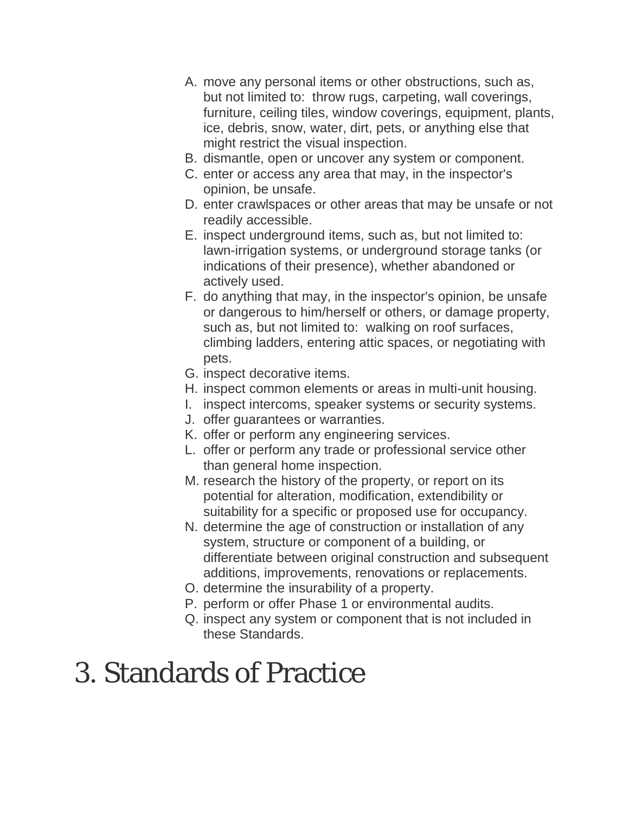- A. move any personal items or other obstructions, such as, but not limited to: throw rugs, carpeting, wall coverings, furniture, ceiling tiles, window coverings, equipment, plants, ice, debris, snow, water, dirt, pets, or anything else that might restrict the visual inspection.
- B. dismantle, open or uncover any system or component.
- C. enter or access any area that may, in the inspector's opinion, be unsafe.
- D. enter crawlspaces or other areas that may be unsafe or not readily accessible.
- E. inspect underground items, such as, but not limited to: lawn-irrigation systems, or underground storage tanks (or indications of their presence), whether abandoned or actively used.
- F. do anything that may, in the inspector's opinion, be unsafe or dangerous to him/herself or others, or damage property, such as, but not limited to: walking on roof surfaces, climbing ladders, entering attic spaces, or negotiating with pets.
- G. inspect decorative items.
- H. inspect common elements or areas in multi-unit housing.
- I. inspect intercoms, speaker systems or security systems.
- J. offer guarantees or warranties.
- K. offer or perform any engineering services.
- L. offer or perform any trade or professional service other than general home inspection.
- M. research the history of the property, or report on its potential for alteration, modification, extendibility or suitability for a specific or proposed use for occupancy.
- N. determine the age of construction or installation of any system, structure or component of a building, or differentiate between original construction and subsequent additions, improvements, renovations or replacements.
- O. determine the insurability of a property.
- P. perform or offer Phase 1 or environmental audits.
- Q. inspect any system or component that is not included in these Standards.

# 3. Standards of Practice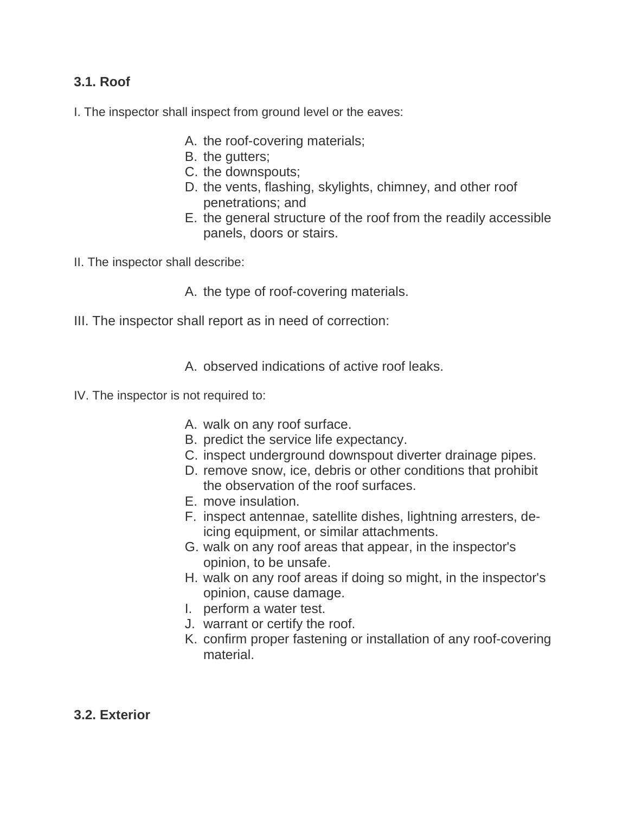#### **3.1. Roof**

I. The inspector shall inspect from ground level or the eaves:

- A. the roof-covering materials;
- B. the gutters;
- C. the downspouts;
- D. the vents, flashing, skylights, chimney, and other roof penetrations; and
- E. the general structure of the roof from the readily accessible panels, doors or stairs.
- II. The inspector shall describe:

A. the type of roof-covering materials.

III. The inspector shall report as in need of correction:

A. observed indications of active roof leaks.

- IV. The inspector is not required to:
	- A. walk on any roof surface.
	- B. predict the service life expectancy.
	- C. inspect underground downspout diverter drainage pipes.
	- D. remove snow, ice, debris or other conditions that prohibit the observation of the roof surfaces.
	- E. move insulation.
	- F. inspect antennae, satellite dishes, lightning arresters, deicing equipment, or similar attachments.
	- G. walk on any roof areas that appear, in the inspector's opinion, to be unsafe.
	- H. walk on any roof areas if doing so might, in the inspector's opinion, cause damage.
	- I. perform a water test.
	- J. warrant or certify the roof.
	- K. confirm proper fastening or installation of any roof-covering material.
- **3.2. Exterior**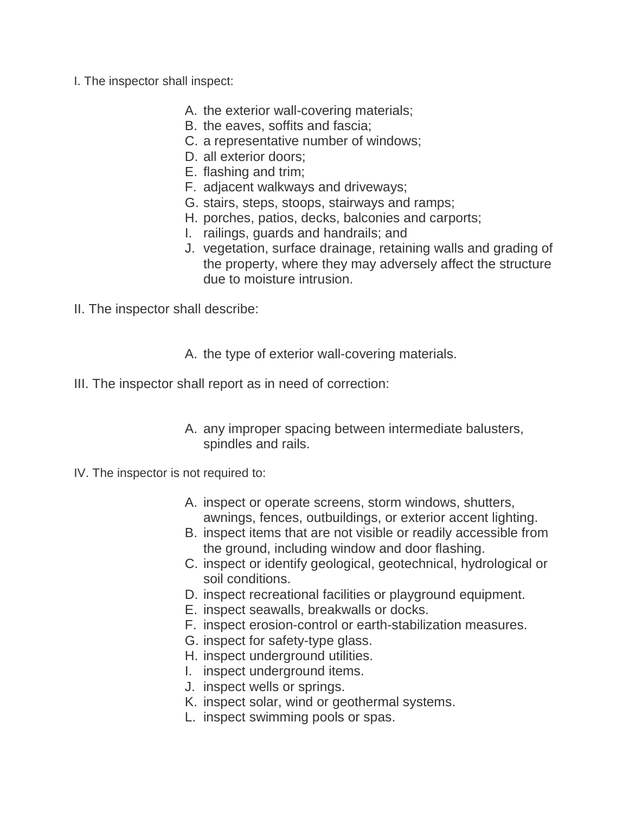- I. The inspector shall inspect:
	- A. the exterior wall-covering materials;
	- B. the eaves, soffits and fascia;
	- C. a representative number of windows;
	- D. all exterior doors;
	- E. flashing and trim;
	- F. adjacent walkways and driveways;
	- G. stairs, steps, stoops, stairways and ramps;
	- H. porches, patios, decks, balconies and carports;
	- I. railings, guards and handrails; and
	- J. vegetation, surface drainage, retaining walls and grading of the property, where they may adversely affect the structure due to moisture intrusion.
- II. The inspector shall describe:
	- A. the type of exterior wall-covering materials.
- III. The inspector shall report as in need of correction:
	- A. any improper spacing between intermediate balusters, spindles and rails.
- IV. The inspector is not required to:
	- A. inspect or operate screens, storm windows, shutters, awnings, fences, outbuildings, or exterior accent lighting.
	- B. inspect items that are not visible or readily accessible from the ground, including window and door flashing.
	- C. inspect or identify geological, geotechnical, hydrological or soil conditions.
	- D. inspect recreational facilities or playground equipment.
	- E. inspect seawalls, breakwalls or docks.
	- F. inspect erosion-control or earth-stabilization measures.
	- G. inspect for safety-type glass.
	- H. inspect underground utilities.
	- I. inspect underground items.
	- J. inspect wells or springs.
	- K. inspect solar, wind or geothermal systems.
	- L. inspect swimming pools or spas.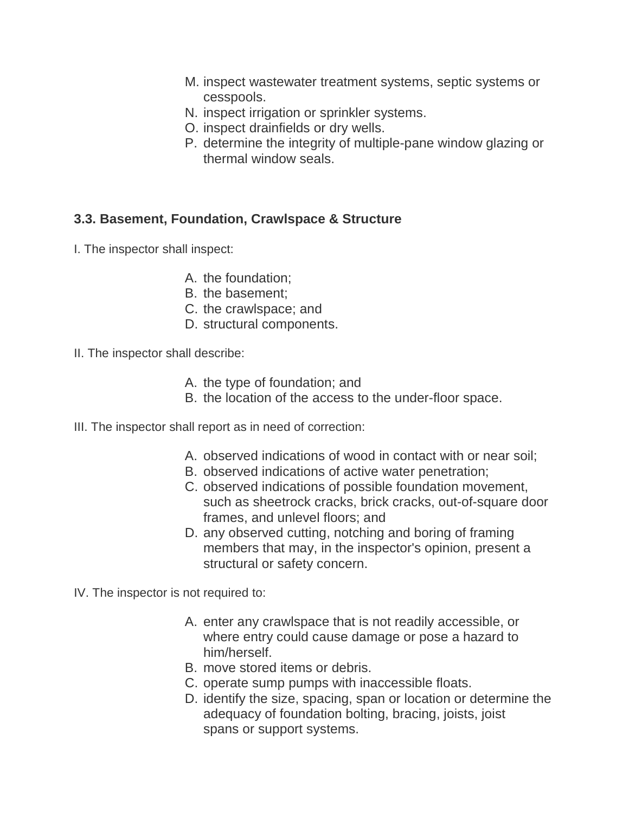- M. inspect wastewater treatment systems, septic systems or cesspools.
- N. inspect irrigation or sprinkler systems.
- O. inspect drainfields or dry wells.
- P. determine the integrity of multiple-pane window glazing or thermal window seals.

#### **3.3. Basement, Foundation, Crawlspace & Structure**

I. The inspector shall inspect:

- A. the foundation;
- B. the basement;
- C. the crawlspace; and
- D. structural components.
- II. The inspector shall describe:
	- A. the type of foundation; and
	- B. the location of the access to the under-floor space.
- III. The inspector shall report as in need of correction:
	- A. observed indications of wood in contact with or near soil;
	- B. observed indications of active water penetration;
	- C. observed indications of possible foundation movement, such as sheetrock cracks, brick cracks, out-of-square door frames, and unlevel floors; and
	- D. any observed cutting, notching and boring of framing members that may, in the inspector's opinion, present a structural or safety concern.

IV. The inspector is not required to:

- A. enter any crawlspace that is not readily accessible, or where entry could cause damage or pose a hazard to him/herself.
- B. move stored items or debris.
- C. operate sump pumps with inaccessible floats.
- D. identify the size, spacing, span or location or determine the adequacy of foundation bolting, bracing, joists, joist spans or support systems.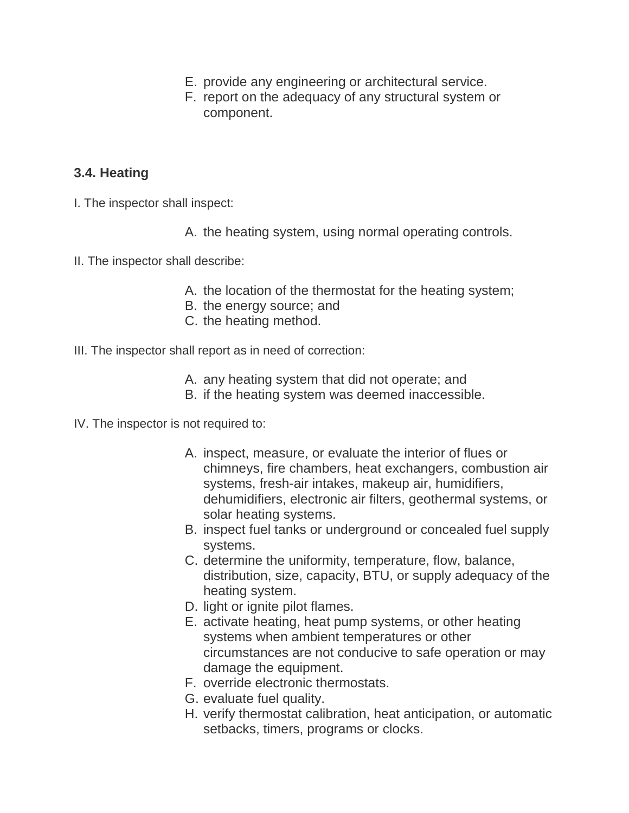- E. provide any engineering or architectural service.
- F. report on the adequacy of any structural system or component.

#### **3.4. Heating**

- I. The inspector shall inspect:
	- A. the heating system, using normal operating controls.
- II. The inspector shall describe:
	- A. the location of the thermostat for the heating system;
	- B. the energy source; and
	- C. the heating method.
- III. The inspector shall report as in need of correction:
	- A. any heating system that did not operate; and
	- B. if the heating system was deemed inaccessible.

IV. The inspector is not required to:

- A. inspect, measure, or evaluate the interior of flues or chimneys, fire chambers, heat exchangers, combustion air systems, fresh-air intakes, makeup air, humidifiers, dehumidifiers, electronic air filters, geothermal systems, or solar heating systems.
- B. inspect fuel tanks or underground or concealed fuel supply systems.
- C. determine the uniformity, temperature, flow, balance, distribution, size, capacity, BTU, or supply adequacy of the heating system.
- D. light or ignite pilot flames.
- E. activate heating, heat pump systems, or other heating systems when ambient temperatures or other circumstances are not conducive to safe operation or may damage the equipment.
- F. override electronic thermostats.
- G. evaluate fuel quality.
- H. verify thermostat calibration, heat anticipation, or automatic setbacks, timers, programs or clocks.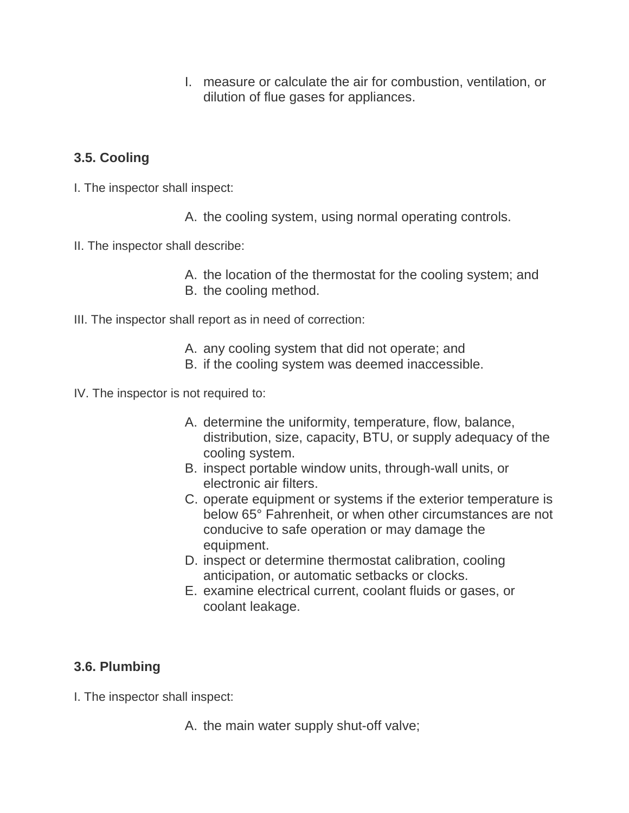I. measure or calculate the air for combustion, ventilation, or dilution of flue gases for appliances.

#### **3.5. Cooling**

- I. The inspector shall inspect:
	- A. the cooling system, using normal operating controls.
- II. The inspector shall describe:
	- A. the location of the thermostat for the cooling system; and B. the cooling method.
- III. The inspector shall report as in need of correction:
	- A. any cooling system that did not operate; and
	- B. if the cooling system was deemed inaccessible.
- IV. The inspector is not required to:
	- A. determine the uniformity, temperature, flow, balance, distribution, size, capacity, BTU, or supply adequacy of the cooling system.
	- B. inspect portable window units, through-wall units, or electronic air filters.
	- C. operate equipment or systems if the exterior temperature is below 65° Fahrenheit, or when other circumstances are not conducive to safe operation or may damage the equipment.
	- D. inspect or determine thermostat calibration, cooling anticipation, or automatic setbacks or clocks.
	- E. examine electrical current, coolant fluids or gases, or coolant leakage.

#### **3.6. Plumbing**

- I. The inspector shall inspect:
	- A. the main water supply shut-off valve;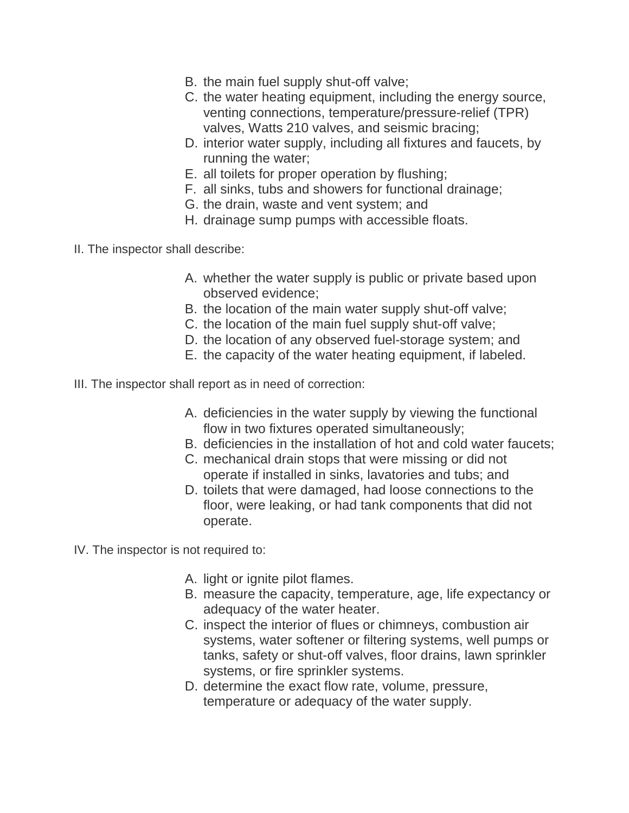- B. the main fuel supply shut-off valve;
- C. the water heating equipment, including the energy source, venting connections, temperature/pressure-relief (TPR) valves, Watts 210 valves, and seismic bracing;
- D. interior water supply, including all fixtures and faucets, by running the water;
- E. all toilets for proper operation by flushing;
- F. all sinks, tubs and showers for functional drainage;
- G. the drain, waste and vent system; and
- H. drainage sump pumps with accessible floats.
- II. The inspector shall describe:
	- A. whether the water supply is public or private based upon observed evidence;
	- B. the location of the main water supply shut-off valve;
	- C. the location of the main fuel supply shut-off valve;
	- D. the location of any observed fuel-storage system; and
	- E. the capacity of the water heating equipment, if labeled.
- III. The inspector shall report as in need of correction:
	- A. deficiencies in the water supply by viewing the functional flow in two fixtures operated simultaneously;
	- B. deficiencies in the installation of hot and cold water faucets;
	- C. mechanical drain stops that were missing or did not operate if installed in sinks, lavatories and tubs; and
	- D. toilets that were damaged, had loose connections to the floor, were leaking, or had tank components that did not operate.

IV. The inspector is not required to:

- A. light or ignite pilot flames.
- B. measure the capacity, temperature, age, life expectancy or adequacy of the water heater.
- C. inspect the interior of flues or chimneys, combustion air systems, water softener or filtering systems, well pumps or tanks, safety or shut-off valves, floor drains, lawn sprinkler systems, or fire sprinkler systems.
- D. determine the exact flow rate, volume, pressure, temperature or adequacy of the water supply.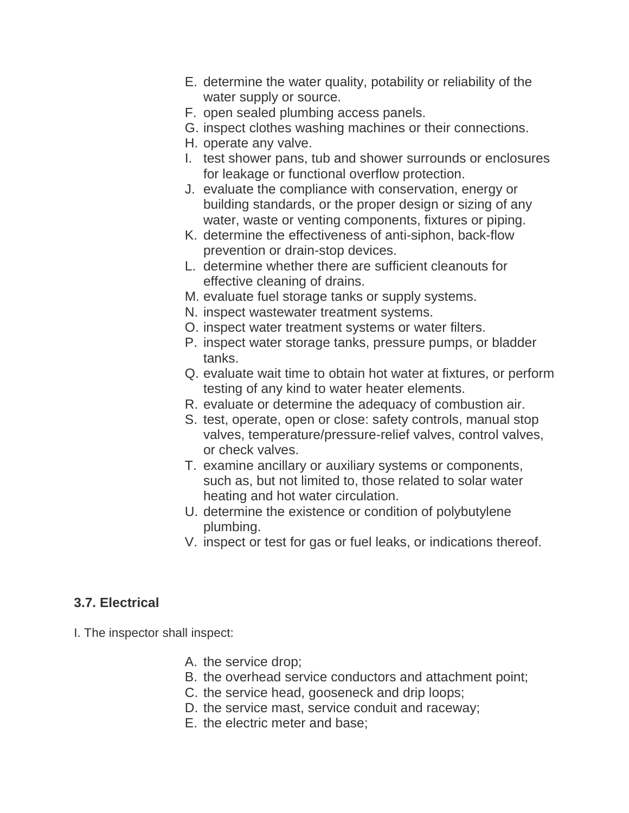- E. determine the water quality, potability or reliability of the water supply or source.
- F. open sealed plumbing access panels.
- G. inspect clothes washing machines or their connections.
- H. operate any valve.
- I. test shower pans, tub and shower surrounds or enclosures for leakage or functional overflow protection.
- J. evaluate the compliance with conservation, energy or building standards, or the proper design or sizing of any water, waste or venting components, fixtures or piping.
- K. determine the effectiveness of anti-siphon, back-flow prevention or drain-stop devices.
- L. determine whether there are sufficient cleanouts for effective cleaning of drains.
- M. evaluate fuel storage tanks or supply systems.
- N. inspect wastewater treatment systems.
- O. inspect water treatment systems or water filters.
- P. inspect water storage tanks, pressure pumps, or bladder tanks.
- Q. evaluate wait time to obtain hot water at fixtures, or perform testing of any kind to water heater elements.
- R. evaluate or determine the adequacy of combustion air.
- S. test, operate, open or close: safety controls, manual stop valves, temperature/pressure-relief valves, control valves, or check valves.
- T. examine ancillary or auxiliary systems or components, such as, but not limited to, those related to solar water heating and hot water circulation.
- U. determine the existence or condition of polybutylene plumbing.
- V. inspect or test for gas or fuel leaks, or indications thereof.

#### **3.7. Electrical**

I. The inspector shall inspect:

- A. the service drop;
- B. the overhead service conductors and attachment point;
- C. the service head, gooseneck and drip loops;
- D. the service mast, service conduit and raceway;
- E. the electric meter and base;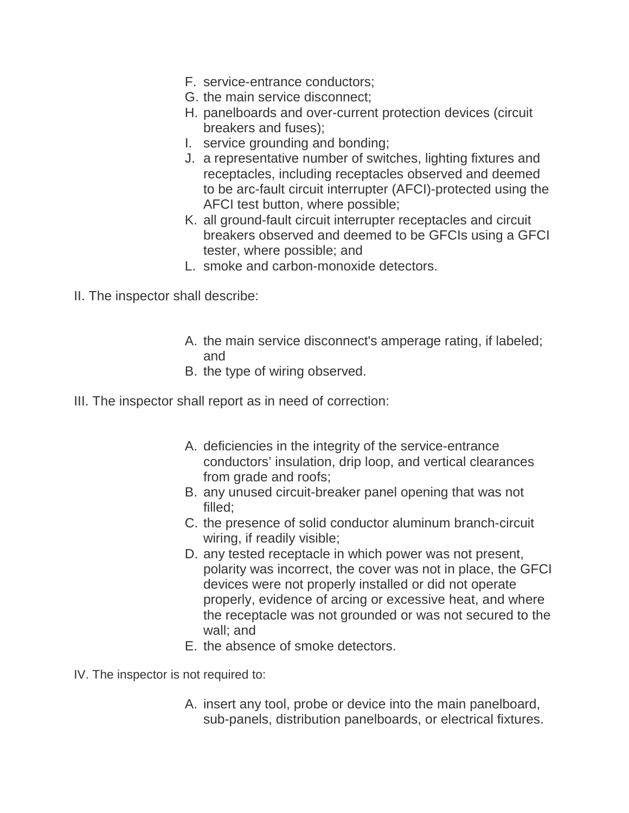- F. service-entrance conductors;
- G. the main service disconnect;
- H. panelboards and over-current protection devices (circuit breakers and fuses);
- I. service grounding and bonding;
- J. a representative number of switches, lighting fixtures and receptacles, including receptacles observed and deemed to be arc-fault circuit interrupter (AFCI)-protected using the AFCI test button, where possible;
- K. all ground-fault circuit interrupter receptacles and circuit breakers observed and deemed to be GFCIs using a GFCI tester, where possible; and
- L. smoke and carbon-monoxide detectors.
- II. The inspector shall describe:
	- A. the main service disconnect's amperage rating, if labeled; and
	- B. the type of wiring observed.
- III. The inspector shall report as in need of correction:
	- A. deficiencies in the integrity of the service-entrance conductors' insulation, drip loop, and vertical clearances from grade and roofs;
	- B. any unused circuit-breaker panel opening that was not filled;
	- C. the presence of solid conductor aluminum branch-circuit wiring, if readily visible;
	- D. any tested receptacle in which power was not present, polarity was incorrect, the cover was not in place, the GFCI devices were not properly installed or did not operate properly, evidence of arcing or excessive heat, and where the receptacle was not grounded or was not secured to the wall; and
	- E. the absence of smoke detectors.
- IV. The inspector is not required to:
	- A. insert any tool, probe or device into the main panelboard, sub-panels, distribution panelboards, or electrical fixtures.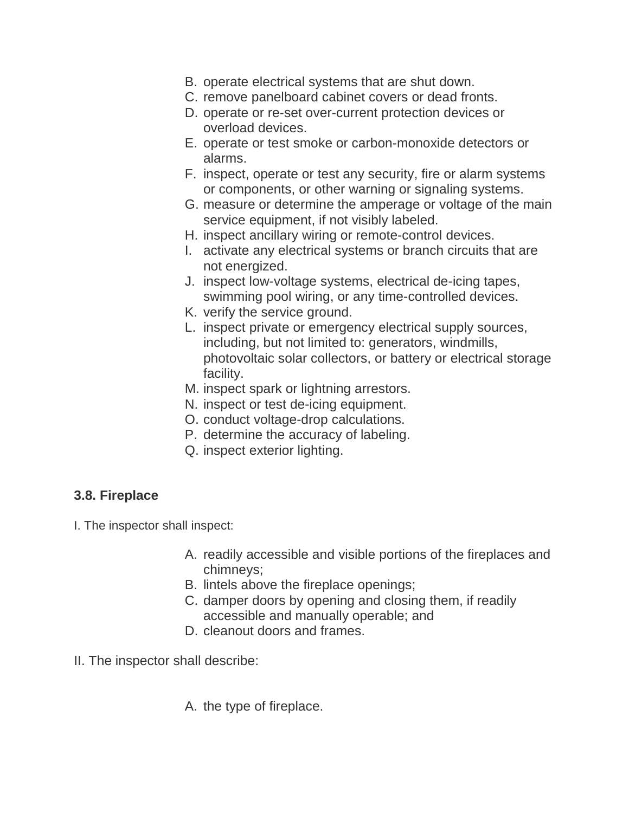- B. operate electrical systems that are shut down.
- C. remove panelboard cabinet covers or dead fronts.
- D. operate or re-set over-current protection devices or overload devices.
- E. operate or test smoke or carbon-monoxide detectors or alarms.
- F. inspect, operate or test any security, fire or alarm systems or components, or other warning or signaling systems.
- G. measure or determine the amperage or voltage of the main service equipment, if not visibly labeled.
- H. inspect ancillary wiring or remote-control devices.
- I. activate any electrical systems or branch circuits that are not energized.
- J. inspect low-voltage systems, electrical de-icing tapes, swimming pool wiring, or any time-controlled devices.
- K. verify the service ground.
- L. inspect private or emergency electrical supply sources, including, but not limited to: generators, windmills, photovoltaic solar collectors, or battery or electrical storage facility.
- M. inspect spark or lightning arrestors.
- N. inspect or test de-icing equipment.
- O. conduct voltage-drop calculations.
- P. determine the accuracy of labeling.
- Q. inspect exterior lighting.

#### **3.8. Fireplace**

I. The inspector shall inspect:

- A. readily accessible and visible portions of the fireplaces and chimneys;
- B. lintels above the fireplace openings;
- C. damper doors by opening and closing them, if readily accessible and manually operable; and
- D. cleanout doors and frames.
- II. The inspector shall describe:
	- A. the type of fireplace.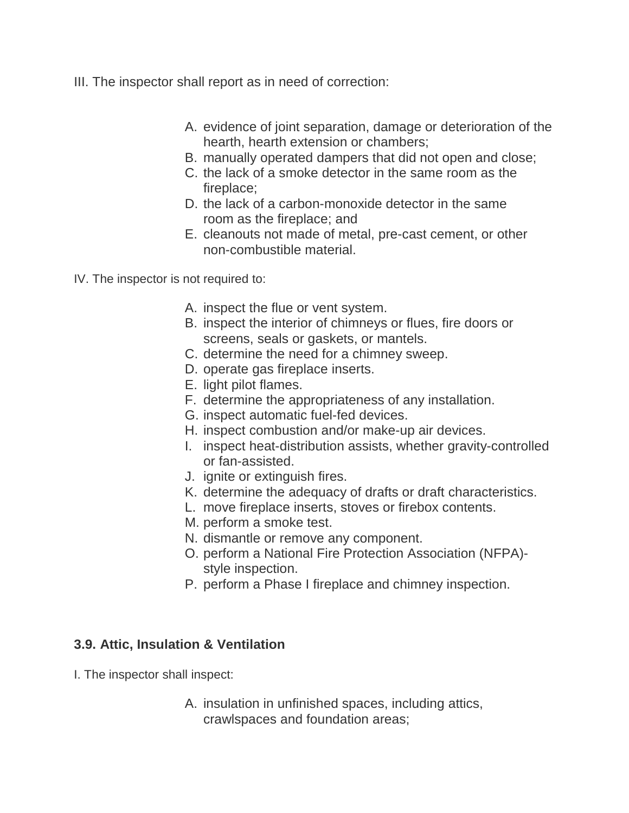- III. The inspector shall report as in need of correction:
	- A. evidence of joint separation, damage or deterioration of the hearth, hearth extension or chambers;
	- B. manually operated dampers that did not open and close;
	- C. the lack of a smoke detector in the same room as the fireplace;
	- D. the lack of a carbon-monoxide detector in the same room as the fireplace; and
	- E. cleanouts not made of metal, pre-cast cement, or other non-combustible material.
- IV. The inspector is not required to:
	- A. inspect the flue or vent system.
	- B. inspect the interior of chimneys or flues, fire doors or screens, seals or gaskets, or mantels.
	- C. determine the need for a chimney sweep.
	- D. operate gas fireplace inserts.
	- E. light pilot flames.
	- F. determine the appropriateness of any installation.
	- G. inspect automatic fuel-fed devices.
	- H. inspect combustion and/or make-up air devices.
	- I. inspect heat-distribution assists, whether gravity-controlled or fan-assisted.
	- J. ignite or extinguish fires.
	- K. determine the adequacy of drafts or draft characteristics.
	- L. move fireplace inserts, stoves or firebox contents.
	- M. perform a smoke test.
	- N. dismantle or remove any component.
	- O. perform a National Fire Protection Association (NFPA) style inspection.
	- P. perform a Phase I fireplace and chimney inspection.

#### **3.9. Attic, Insulation & Ventilation**

- I. The inspector shall inspect:
	- A. insulation in unfinished spaces, including attics, crawlspaces and foundation areas;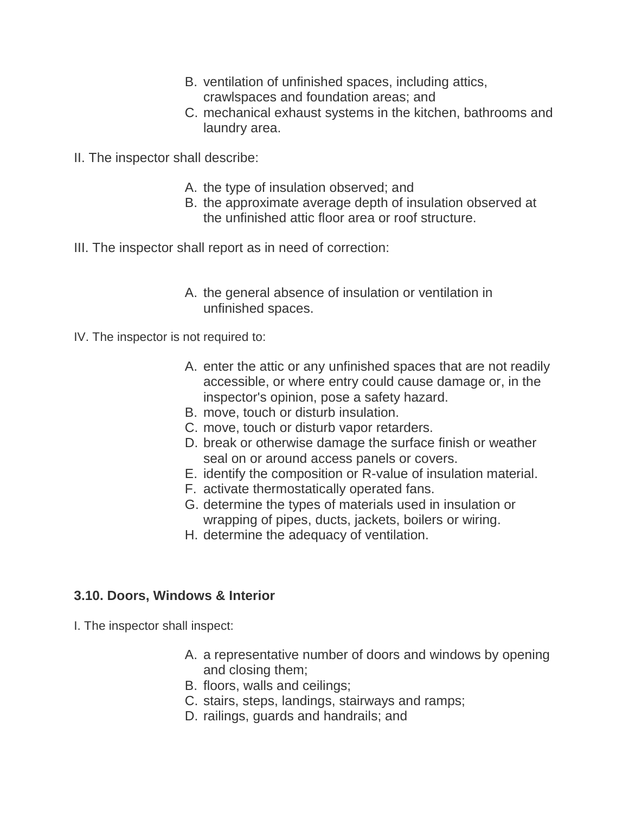- B. ventilation of unfinished spaces, including attics, crawlspaces and foundation areas; and
- C. mechanical exhaust systems in the kitchen, bathrooms and laundry area.
- II. The inspector shall describe:
	- A. the type of insulation observed; and
	- B. the approximate average depth of insulation observed at the unfinished attic floor area or roof structure.
- III. The inspector shall report as in need of correction:
	- A. the general absence of insulation or ventilation in unfinished spaces.
- IV. The inspector is not required to:
	- A. enter the attic or any unfinished spaces that are not readily accessible, or where entry could cause damage or, in the inspector's opinion, pose a safety hazard.
	- B. move, touch or disturb insulation.
	- C. move, touch or disturb vapor retarders.
	- D. break or otherwise damage the surface finish or weather seal on or around access panels or covers.
	- E. identify the composition or R-value of insulation material.
	- F. activate thermostatically operated fans.
	- G. determine the types of materials used in insulation or wrapping of pipes, ducts, jackets, boilers or wiring.
	- H. determine the adequacy of ventilation.

#### **3.10. Doors, Windows & Interior**

I. The inspector shall inspect:

- A. a representative number of doors and windows by opening and closing them;
- B. floors, walls and ceilings;
- C. stairs, steps, landings, stairways and ramps;
- D. railings, guards and handrails; and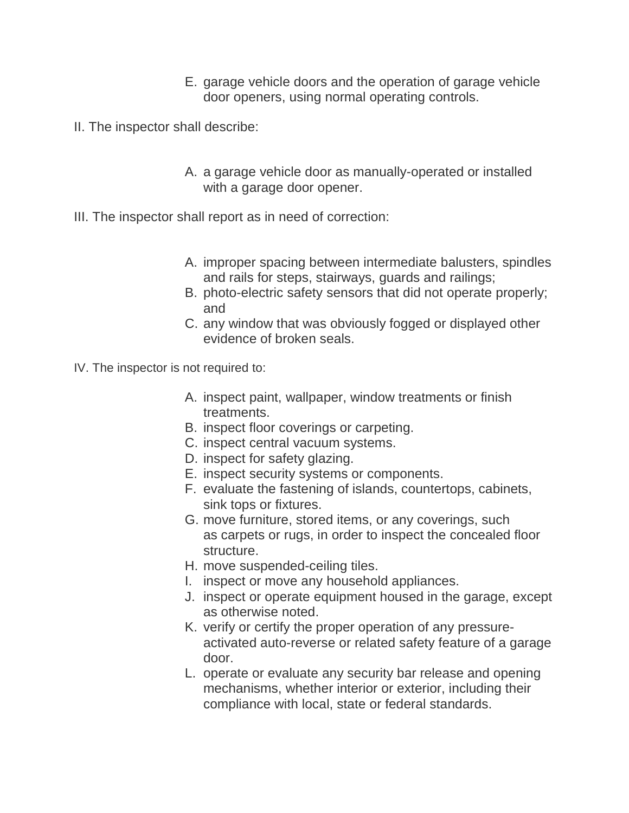- E. garage vehicle doors and the operation of garage vehicle door openers, using normal operating controls.
- II. The inspector shall describe:
	- A. a garage vehicle door as manually-operated or installed with a garage door opener.
- III. The inspector shall report as in need of correction:
	- A. improper spacing between intermediate balusters, spindles and rails for steps, stairways, guards and railings;
	- B. photo-electric safety sensors that did not operate properly; and
	- C. any window that was obviously fogged or displayed other evidence of broken seals.
- IV. The inspector is not required to:
	- A. inspect paint, wallpaper, window treatments or finish treatments.
	- B. inspect floor coverings or carpeting.
	- C. inspect central vacuum systems.
	- D. inspect for safety glazing.
	- E. inspect security systems or components.
	- F. evaluate the fastening of islands, countertops, cabinets, sink tops or fixtures.
	- G. move furniture, stored items, or any coverings, such as carpets or rugs, in order to inspect the concealed floor structure.
	- H. move suspended-ceiling tiles.
	- I. inspect or move any household appliances.
	- J. inspect or operate equipment housed in the garage, except as otherwise noted.
	- K. verify or certify the proper operation of any pressureactivated auto-reverse or related safety feature of a garage door.
	- L. operate or evaluate any security bar release and opening mechanisms, whether interior or exterior, including their compliance with local, state or federal standards.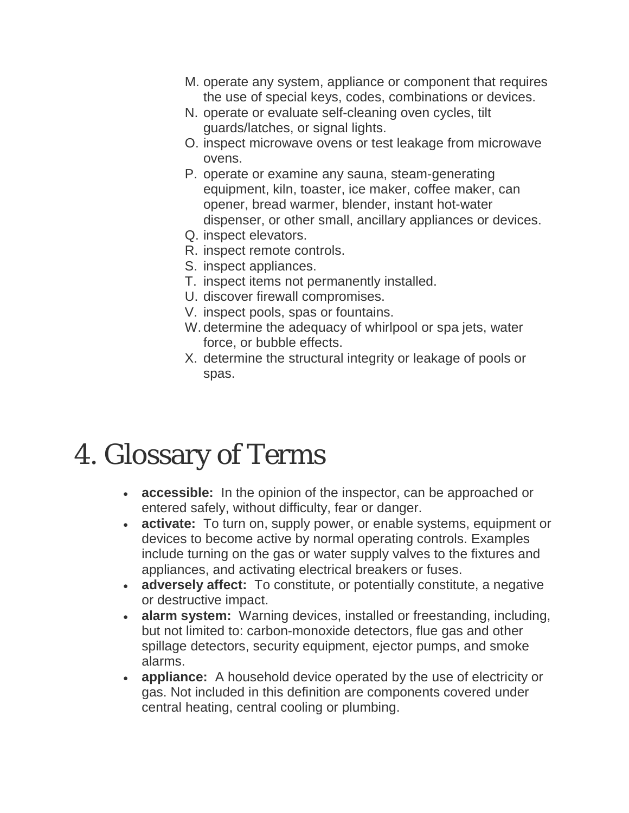- M. operate any system, appliance or component that requires the use of special keys, codes, combinations or devices.
- N. operate or evaluate self-cleaning oven cycles, tilt guards/latches, or signal lights.
- O. inspect microwave ovens or test leakage from microwave ovens.
- P. operate or examine any sauna, steam-generating equipment, kiln, toaster, ice maker, coffee maker, can opener, bread warmer, blender, instant hot-water dispenser, or other small, ancillary appliances or devices.
- Q. inspect elevators.
- R. inspect remote controls.
- S. inspect appliances.
- T. inspect items not permanently installed.
- U. discover firewall compromises.
- V. inspect pools, spas or fountains.
- W. determine the adequacy of whirlpool or spa jets, water force, or bubble effects.
- X. determine the structural integrity or leakage of pools or spas.

## 4. Glossary of Terms

- **accessible:** In the opinion of the inspector, can be approached or entered safely, without difficulty, fear or danger.
- **activate:** To turn on, supply power, or enable systems, equipment or devices to become active by normal operating controls. Examples include turning on the gas or water supply valves to the fixtures and appliances, and activating electrical breakers or fuses.
- **adversely affect:** To constitute, or potentially constitute, a negative or destructive impact.
- **alarm system:** Warning devices, installed or freestanding, including, but not limited to: carbon-monoxide detectors, flue gas and other spillage detectors, security equipment, ejector pumps, and smoke alarms.
- **appliance:** A household device operated by the use of electricity or gas. Not included in this definition are components covered under central heating, central cooling or plumbing.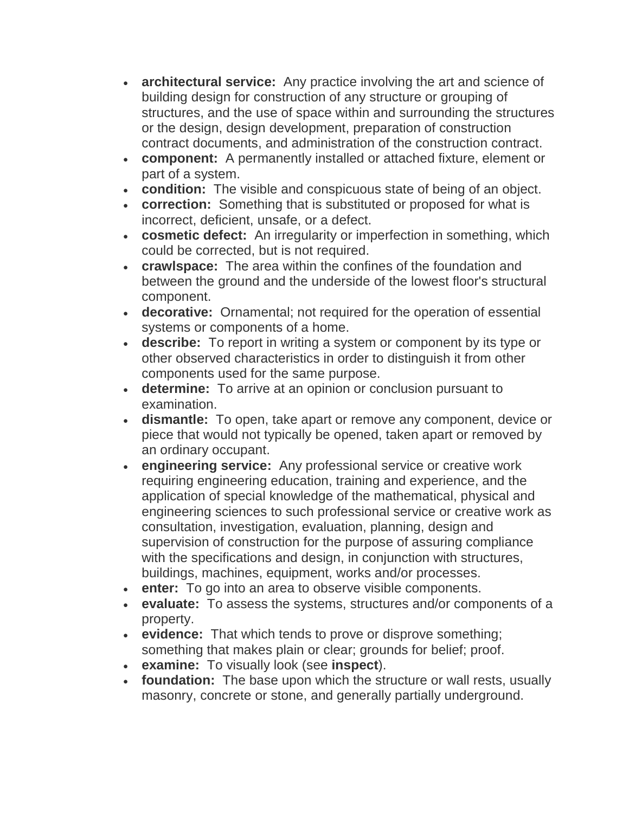- **architectural service:** Any practice involving the art and science of building design for construction of any structure or grouping of structures, and the use of space within and surrounding the structures or the design, design development, preparation of construction contract documents, and administration of the construction contract.
- **component:** A permanently installed or attached fixture, element or part of a system.
- **condition:** The visible and conspicuous state of being of an object.
- **correction:** Something that is substituted or proposed for what is incorrect, deficient, unsafe, or a defect.
- **cosmetic defect:** An irregularity or imperfection in something, which could be corrected, but is not required.
- **crawlspace:** The area within the confines of the foundation and between the ground and the underside of the lowest floor's structural component.
- **decorative:** Ornamental; not required for the operation of essential systems or components of a home.
- **describe:** To report in writing a system or component by its type or other observed characteristics in order to distinguish it from other components used for the same purpose.
- **determine:** To arrive at an opinion or conclusion pursuant to examination.
- **dismantle:** To open, take apart or remove any component, device or piece that would not typically be opened, taken apart or removed by an ordinary occupant.
- **engineering service:** Any professional service or creative work requiring engineering education, training and experience, and the application of special knowledge of the mathematical, physical and engineering sciences to such professional service or creative work as consultation, investigation, evaluation, planning, design and supervision of construction for the purpose of assuring compliance with the specifications and design, in conjunction with structures, buildings, machines, equipment, works and/or processes.
- **enter:** To go into an area to observe visible components.
- **evaluate:** To assess the systems, structures and/or components of a property.
- **evidence:** That which tends to prove or disprove something; something that makes plain or clear; grounds for belief; proof.
- **examine:** To visually look (see **inspect**).
- **foundation:** The base upon which the structure or wall rests, usually masonry, concrete or stone, and generally partially underground.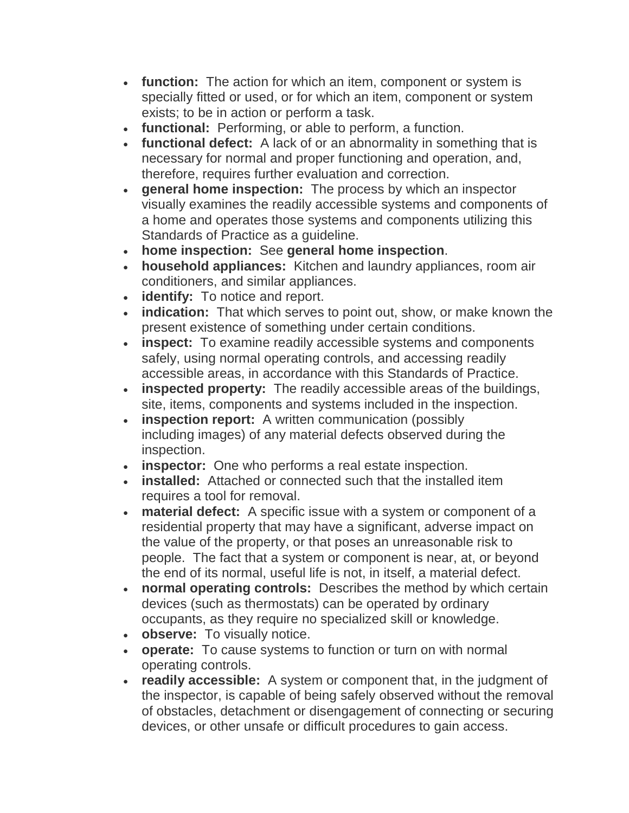- **function:** The action for which an item, component or system is specially fitted or used, or for which an item, component or system exists; to be in action or perform a task.
- **functional:** Performing, or able to perform, a function.
- **functional defect:** A lack of or an abnormality in something that is necessary for normal and proper functioning and operation, and, therefore, requires further evaluation and correction.
- **general home inspection:** The process by which an inspector visually examines the readily accessible systems and components of a home and operates those systems and components utilizing this Standards of Practice as a guideline.
- **home inspection:** See **general home inspection**.
- **household appliances:** Kitchen and laundry appliances, room air conditioners, and similar appliances.
- **identify:** To notice and report.
- **indication:** That which serves to point out, show, or make known the present existence of something under certain conditions.
- **inspect:** To examine readily accessible systems and components safely, using normal operating controls, and accessing readily accessible areas, in accordance with this Standards of Practice.
- **inspected property:** The readily accessible areas of the buildings, site, items, components and systems included in the inspection.
- **inspection report:** A written communication (possibly including images) of any material defects observed during the inspection.
- **inspector:** One who performs a real estate inspection.
- **installed:** Attached or connected such that the installed item requires a tool for removal.
- **material defect:** A specific issue with a system or component of a residential property that may have a significant, adverse impact on the value of the property, or that poses an unreasonable risk to people. The fact that a system or component is near, at, or beyond the end of its normal, useful life is not, in itself, a material defect.
- **normal operating controls:** Describes the method by which certain devices (such as thermostats) can be operated by ordinary occupants, as they require no specialized skill or knowledge.
- **observe:** To visually notice.
- **operate:** To cause systems to function or turn on with normal operating controls.
- **readily accessible:** A system or component that, in the judgment of the inspector, is capable of being safely observed without the removal of obstacles, detachment or disengagement of connecting or securing devices, or other unsafe or difficult procedures to gain access.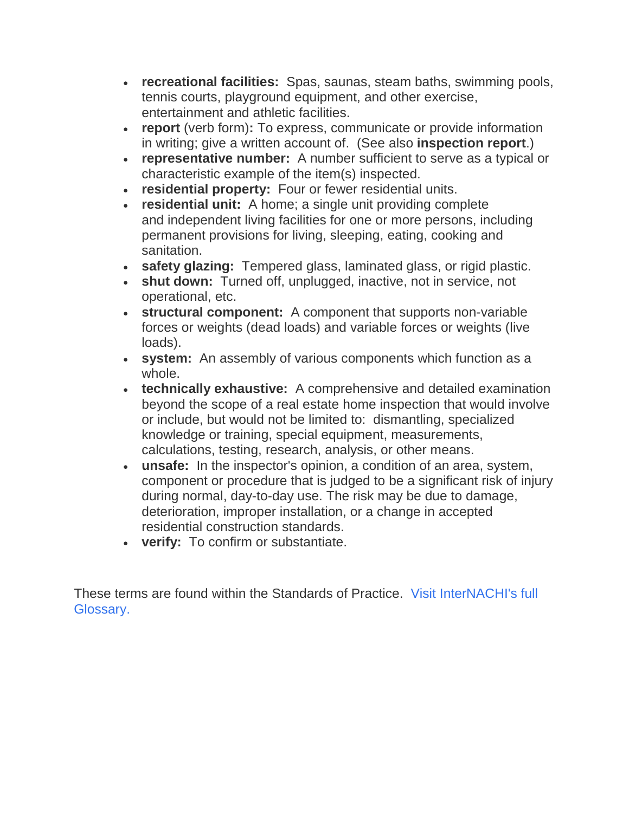- **recreational facilities:** Spas, saunas, steam baths, swimming pools, tennis courts, playground equipment, and other exercise, entertainment and athletic facilities.
- **report** (verb form)**:** To express, communicate or provide information in writing; give a written account of. (See also **inspection report**.)
- **representative number:** A number sufficient to serve as a typical or characteristic example of the item(s) inspected.
- **residential property:** Four or fewer residential units.
- **residential unit:** A home; a single unit providing complete and independent living facilities for one or more persons, including permanent provisions for living, sleeping, eating, cooking and sanitation.
- **safety glazing:** Tempered glass, laminated glass, or rigid plastic.
- **shut down:** Turned off, unplugged, inactive, not in service, not operational, etc.
- **structural component:** A component that supports non-variable forces or weights (dead loads) and variable forces or weights (live loads).
- **system:** An assembly of various components which function as a whole.
- **technically exhaustive:** A comprehensive and detailed examination beyond the scope of a real estate home inspection that would involve or include, but would not be limited to: dismantling, specialized knowledge or training, special equipment, measurements, calculations, testing, research, analysis, or other means.
- **unsafe:** In the inspector's opinion, a condition of an area, system, component or procedure that is judged to be a significant risk of injury during normal, day-to-day use. The risk may be due to damage, deterioration, improper installation, or a change in accepted residential construction standards.
- **verify:** To confirm or substantiate.

These terms are found within the Standards of Practice. [Visit InterNACHI's full](https://www.nachi.org/glossary.htm)  [Glossary.](https://www.nachi.org/glossary.htm)